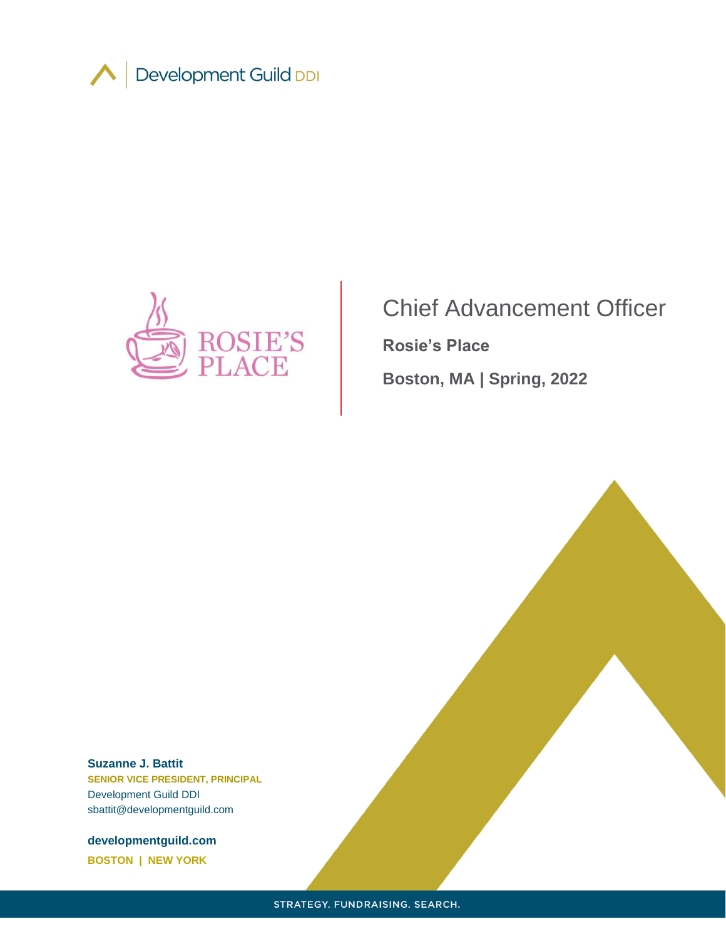



# Chief Advancement Officer

**Rosie's Place**

**Boston, MA | Spring, 2022**

**Suzanne J. Battit SENIOR VICE PRESIDENT, PRINCIPAL** Development Guild DDI sbattit@developmentguild.com

**developmentguild.com BOSTON | NEW YORK**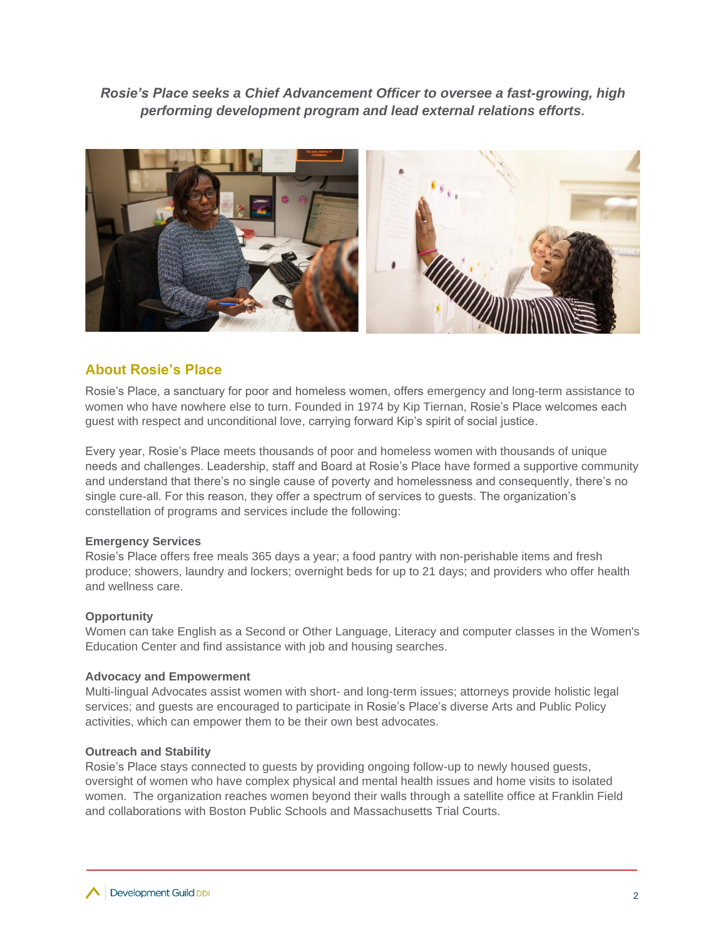*Rosie's Place seeks a Chief Advancement Officer to oversee a fast-growing, high performing development program and lead external relations efforts.*



# **About Rosie's Place**

Rosie's Place, a sanctuary for poor and homeless women, offers emergency and long-term assistance to women who have nowhere else to turn. Founded in 1974 by Kip Tiernan, Rosie's Place welcomes each guest with respect and unconditional love, carrying forward Kip's spirit of social justice.

Every year, Rosie's Place meets thousands of poor and homeless women with thousands of unique needs and challenges. Leadership, staff and Board at Rosie's Place have formed a supportive community and understand that there's no single cause of poverty and homelessness and consequently, there's no single cure-all. For this reason, they offer a spectrum of services to guests. The organization's constellation of programs and services include the following:

## **Emergency Services**

Rosie's Place offers free meals 365 days a year; a food pantry with non-perishable items and fresh produce; showers, laundry and lockers; overnight beds for up to 21 days; and providers who offer health and wellness care.

## **Opportunity**

Women can take English as a Second or Other Language, Literacy and computer classes in the Women's Education Center and find assistance with job and housing searches.

#### **Advocacy and Empowerment**

Multi-lingual Advocates assist women with short- and long-term issues; attorneys provide holistic legal services; and guests are encouraged to participate in Rosie's Place's diverse Arts and Public Policy activities, which can empower them to be their own best advocates.

#### **Outreach and Stability**

Rosie's Place stays connected to guests by providing ongoing follow-up to newly housed guests, oversight of women who have complex physical and mental health issues and home visits to isolated women. The organization reaches women beyond their walls through a satellite office at Franklin Field and collaborations with Boston Public Schools and Massachusetts Trial Courts.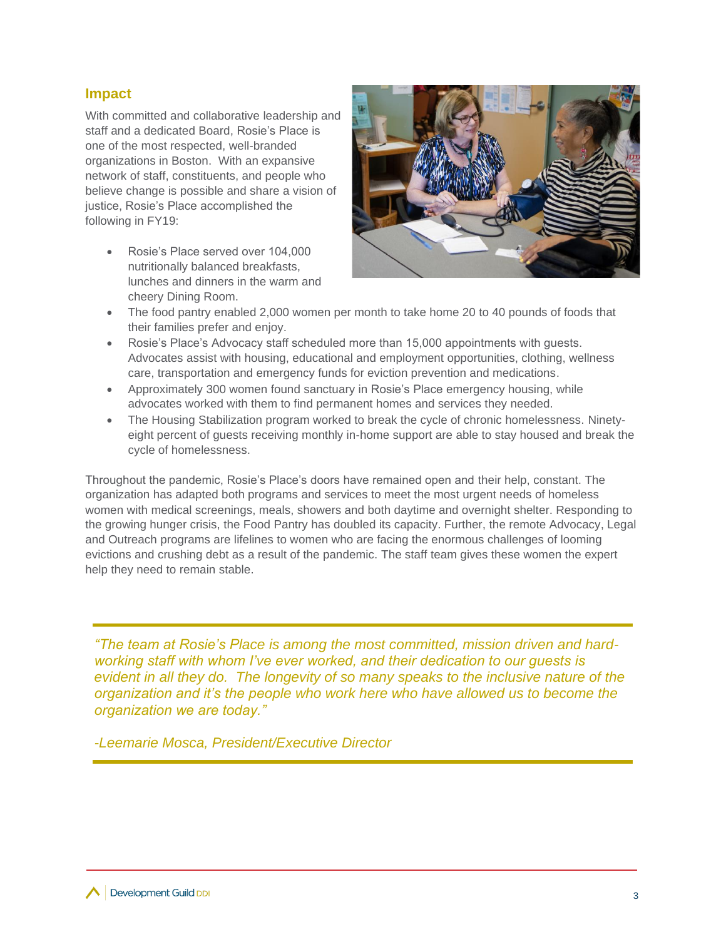## **Impact**

With committed and collaborative leadership and staff and a dedicated Board, Rosie's Place is one of the most respected, well-branded organizations in Boston. With an expansive network of staff, constituents, and people who believe change is possible and share a vision of justice, Rosie's Place accomplished the following in FY19:

• Rosie's Place served over 104,000 nutritionally balanced breakfasts, lunches and dinners in the warm and cheery Dining Room.



- The food pantry enabled 2,000 women per month to take home 20 to 40 pounds of foods that their families prefer and enjoy.
- Rosie's Place's Advocacy staff scheduled more than 15,000 appointments with guests. Advocates assist with housing, educational and employment opportunities, clothing, wellness care, transportation and emergency funds for eviction prevention and medications.
- Approximately 300 women found sanctuary in Rosie's Place emergency housing, while advocates worked with them to find permanent homes and services they needed.
- The Housing Stabilization program worked to break the cycle of chronic homelessness. Ninetyeight percent of guests receiving monthly in-home support are able to stay housed and break the cycle of homelessness.

Throughout the pandemic, Rosie's Place's doors have remained open and their help, constant. The organization has adapted both programs and services to meet the most urgent needs of homeless women with medical screenings, meals, showers and both daytime and overnight shelter. Responding to the growing hunger crisis, the Food Pantry has doubled its capacity. Further, the remote Advocacy, Legal and Outreach programs are lifelines to women who are facing the enormous challenges of looming evictions and crushing debt as a result of the pandemic. The staff team gives these women the expert help they need to remain stable.

*"The team at Rosie's Place is among the most committed, mission driven and hardworking staff with whom I've ever worked, and their dedication to our guests is evident in all they do. The longevity of so many speaks to the inclusive nature of the organization and it's the people who work here who have allowed us to become the organization we are today."* 

*-Leemarie Mosca, President/Executive Director*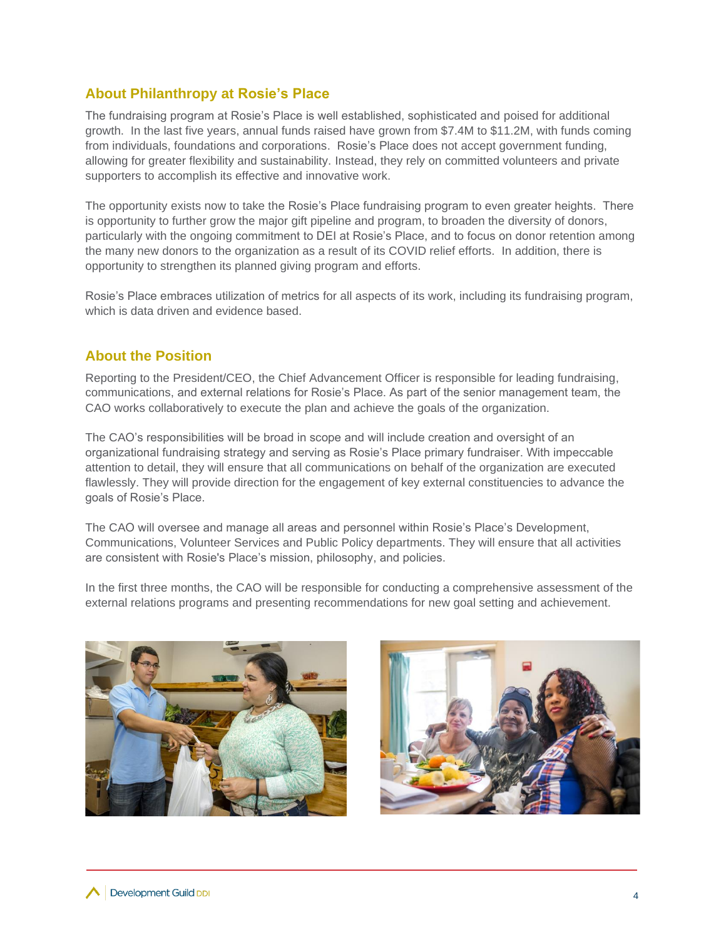## **About Philanthropy at Rosie's Place**

The fundraising program at Rosie's Place is well established, sophisticated and poised for additional growth. In the last five years, annual funds raised have grown from \$7.4M to \$11.2M, with funds coming from individuals, foundations and corporations. Rosie's Place does not accept government funding, allowing for greater flexibility and sustainability. Instead, they rely on committed volunteers and private supporters to accomplish its effective and innovative work.

The opportunity exists now to take the Rosie's Place fundraising program to even greater heights. There is opportunity to further grow the major gift pipeline and program, to broaden the diversity of donors, particularly with the ongoing commitment to DEI at Rosie's Place, and to focus on donor retention among the many new donors to the organization as a result of its COVID relief efforts. In addition, there is opportunity to strengthen its planned giving program and efforts.

Rosie's Place embraces utilization of metrics for all aspects of its work, including its fundraising program, which is data driven and evidence based.

## **About the Position**

Reporting to the President/CEO, the Chief Advancement Officer is responsible for leading fundraising, communications, and external relations for Rosie's Place. As part of the senior management team, the CAO works collaboratively to execute the plan and achieve the goals of the organization.

The CAO's responsibilities will be broad in scope and will include creation and oversight of an organizational fundraising strategy and serving as Rosie's Place primary fundraiser. With impeccable attention to detail, they will ensure that all communications on behalf of the organization are executed flawlessly. They will provide direction for the engagement of key external constituencies to advance the goals of Rosie's Place.

The CAO will oversee and manage all areas and personnel within Rosie's Place's Development, Communications, Volunteer Services and Public Policy departments. They will ensure that all activities are consistent with Rosie's Place's mission, philosophy, and policies.

In the first three months, the CAO will be responsible for conducting a comprehensive assessment of the external relations programs and presenting recommendations for new goal setting and achievement.



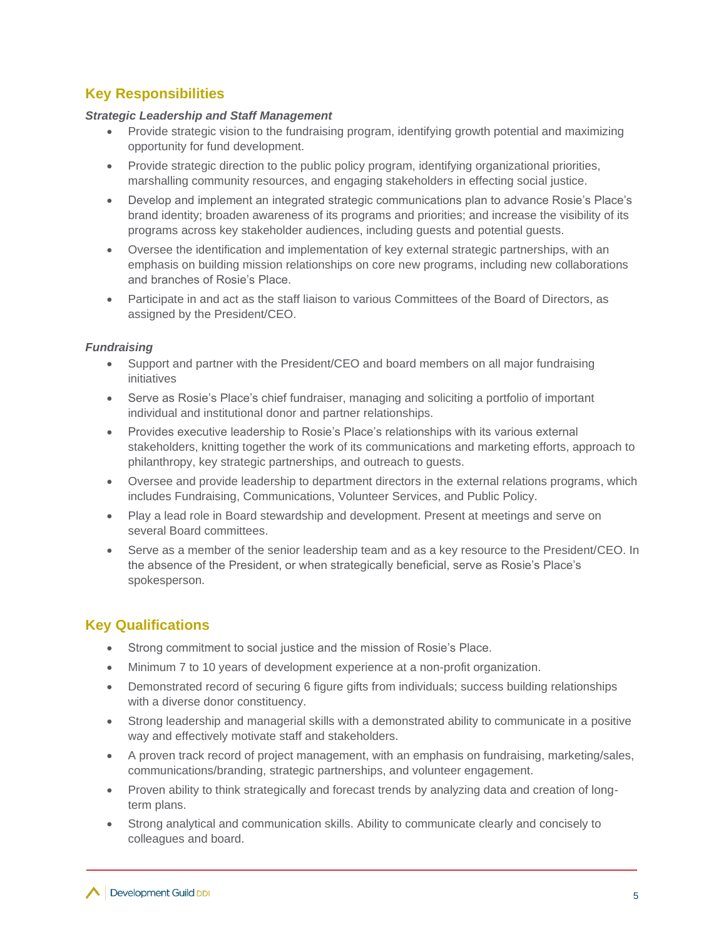## **Key Responsibilities**

#### *Strategic Leadership and Staff Management*

- Provide strategic vision to the fundraising program, identifying growth potential and maximizing opportunity for fund development.
- Provide strategic direction to the public policy program, identifying organizational priorities, marshalling community resources, and engaging stakeholders in effecting social justice.
- Develop and implement an integrated strategic communications plan to advance Rosie's Place's brand identity; broaden awareness of its programs and priorities; and increase the visibility of its programs across key stakeholder audiences, including guests and potential guests.
- Oversee the identification and implementation of key external strategic partnerships, with an emphasis on building mission relationships on core new programs, including new collaborations and branches of Rosie's Place.
- Participate in and act as the staff liaison to various Committees of the Board of Directors, as assigned by the President/CEO.

## *Fundraising*

- Support and partner with the President/CEO and board members on all major fundraising initiatives
- Serve as Rosie's Place's chief fundraiser, managing and soliciting a portfolio of important individual and institutional donor and partner relationships.
- Provides executive leadership to Rosie's Place's relationships with its various external stakeholders, knitting together the work of its communications and marketing efforts, approach to philanthropy, key strategic partnerships, and outreach to guests.
- Oversee and provide leadership to department directors in the external relations programs, which includes Fundraising, Communications, Volunteer Services, and Public Policy.
- Play a lead role in Board stewardship and development. Present at meetings and serve on several Board committees.
- Serve as a member of the senior leadership team and as a key resource to the President/CEO. In the absence of the President, or when strategically beneficial, serve as Rosie's Place's spokesperson.

# **Key Qualifications**

- Strong commitment to social justice and the mission of Rosie's Place.
- Minimum 7 to 10 years of development experience at a non-profit organization.
- Demonstrated record of securing 6 figure gifts from individuals; success building relationships with a diverse donor constituency.
- Strong leadership and managerial skills with a demonstrated ability to communicate in a positive way and effectively motivate staff and stakeholders.
- A proven track record of project management, with an emphasis on fundraising, marketing/sales, communications/branding, strategic partnerships, and volunteer engagement.
- Proven ability to think strategically and forecast trends by analyzing data and creation of longterm plans.
- Strong analytical and communication skills. Ability to communicate clearly and concisely to colleagues and board.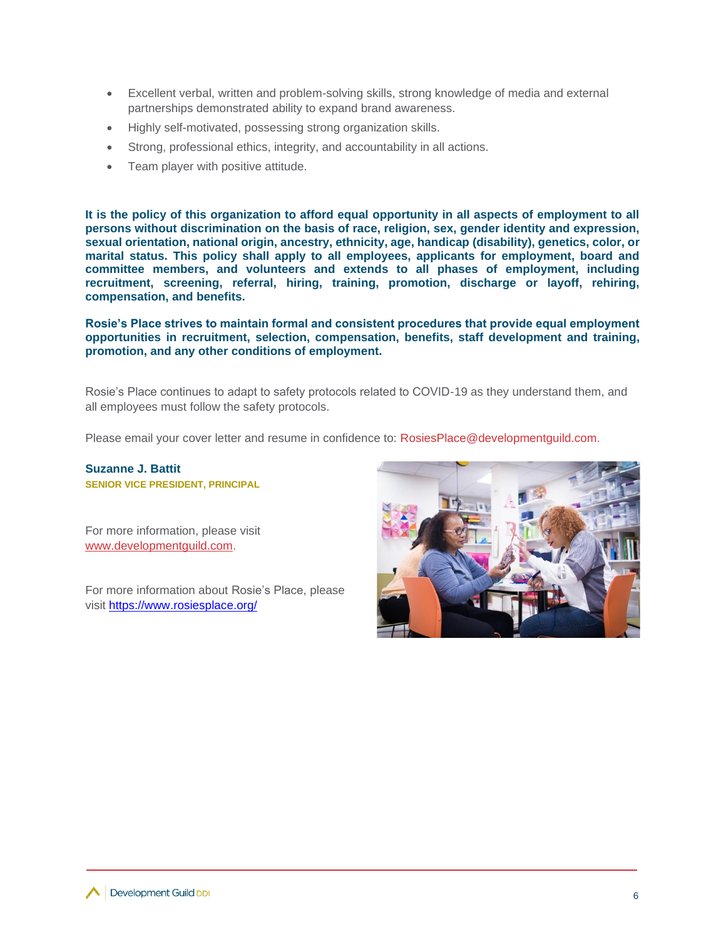- Excellent verbal, written and problem-solving skills, strong knowledge of media and external partnerships demonstrated ability to expand brand awareness.
- Highly self-motivated, possessing strong organization skills.
- Strong, professional ethics, integrity, and accountability in all actions.
- Team player with positive attitude.

**It is the policy of this organization to afford equal opportunity in all aspects of employment to all persons without discrimination on the basis of race, religion, sex, gender identity and expression, sexual orientation, national origin, ancestry, ethnicity, age, handicap (disability), genetics, color, or marital status. This policy shall apply to all employees, applicants for employment, board and committee members, and volunteers and extends to all phases of employment, including recruitment, screening, referral, hiring, training, promotion, discharge or layoff, rehiring, compensation, and benefits.**

**Rosie's Place strives to maintain formal and consistent procedures that provide equal employment opportunities in recruitment, selection, compensation, benefits, staff development and training, promotion, and any other conditions of employment.**

Rosie's Place continues to adapt to safety protocols related to COVID-19 as they understand them, and all employees must follow the safety protocols.

Please email your cover letter and resume in confidence to: RosiesPlace@developmentguild.com.

**Suzanne J. Battit SENIOR VICE PRESIDENT, PRINCIPAL**

For more information, please visit [www.developmentguild.com.](http://www.developmentguild.com/)

For more information about Rosie's Place, please visit<https://www.rosiesplace.org/>